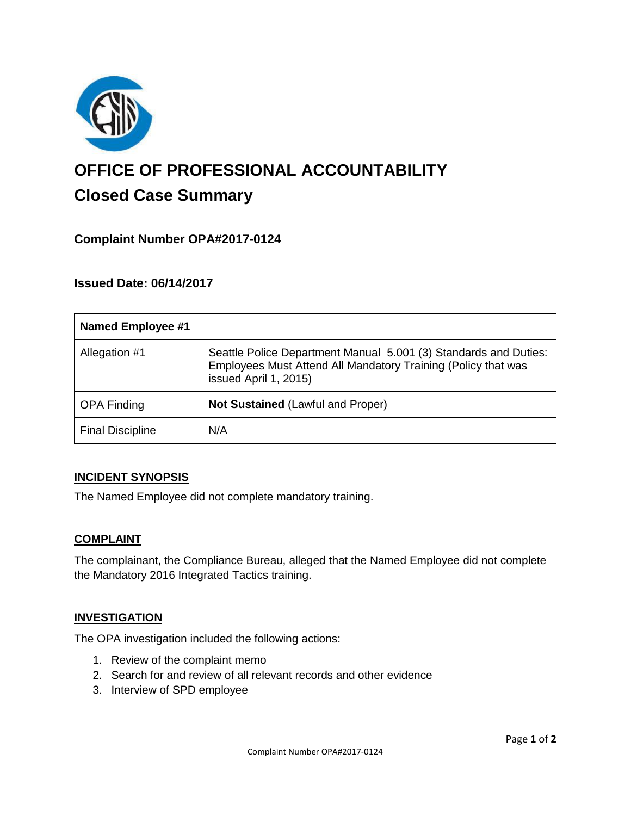

# **OFFICE OF PROFESSIONAL ACCOUNTABILITY Closed Case Summary**

# **Complaint Number OPA#2017-0124**

## **Issued Date: 06/14/2017**

| <b>Named Employee #1</b> |                                                                                                                                                            |
|--------------------------|------------------------------------------------------------------------------------------------------------------------------------------------------------|
| Allegation #1            | Seattle Police Department Manual 5.001 (3) Standards and Duties:<br>Employees Must Attend All Mandatory Training (Policy that was<br>issued April 1, 2015) |
| <b>OPA Finding</b>       | <b>Not Sustained (Lawful and Proper)</b>                                                                                                                   |
| <b>Final Discipline</b>  | N/A                                                                                                                                                        |

#### **INCIDENT SYNOPSIS**

The Named Employee did not complete mandatory training.

#### **COMPLAINT**

The complainant, the Compliance Bureau, alleged that the Named Employee did not complete the Mandatory 2016 Integrated Tactics training.

#### **INVESTIGATION**

The OPA investigation included the following actions:

- 1. Review of the complaint memo
- 2. Search for and review of all relevant records and other evidence
- 3. Interview of SPD employee